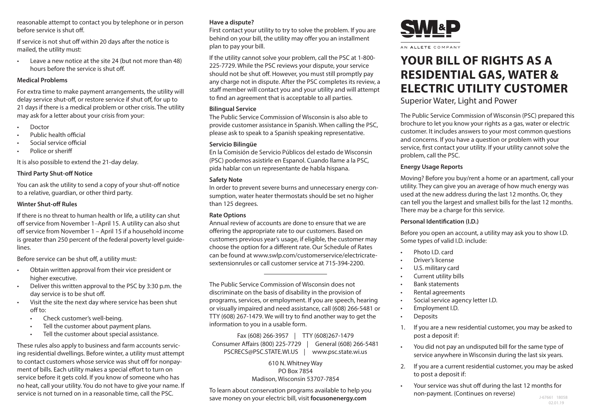reasonable attempt to contact you by telephone or in person before service is shut off.

If service is not shut off within 20 days after the notice is mailed, the utility must:

Leave a new notice at the site 24 (but not more than 48) hours before the service is shut off.

#### **Medical Problems**

For extra time to make payment arrangements, the utility will delay service shut-off, or restore service if shut off, for up to 21 days if there is a medical problem or other crisis. The utility may ask for a letter about your crisis from your:

- Doctor
- Public health official
- Social service official
- Police or sheriff

It is also possible to extend the 21-day delay.

## **Third Party Shut-off Notice**

You can ask the utility to send a copy of your shut-off notice to a relative, guardian, or other third party.

#### **Winter Shut-off Rules**

If there is no threat to human health or life, a utility can shut off service from November 1–April 15. A utility can also shut off service from November 1 – April 15 if a household income is greater than 250 percent of the federal poverty level guidelines.

Before service can be shut off, a utility must:

- Obtain written approval from their vice president or higher executive.
- Deliver this written approval to the PSC by 3:30 p.m. the day service is to be shut off.
- Visit the site the next day where service has been shut off to:
	- Check customer's well-being.
	- Tell the customer about payment plans.
	- Tell the customer about special assistance.

These rules also apply to business and farm accounts servicing residential dwellings. Before winter, a utility must attempt to contact customers whose service was shut off for nonpayment of bills. Each utility makes a special effort to turn on service before it gets cold. If you know of someone who has no heat, call your utility. You do not have to give your name. If service is not turned on in a reasonable time, call the PSC.

## **Have a dispute?**

First contact your utility to try to solve the problem. If you are behind on your bill, the utility may offer you an installment plan to pay your bill.

If the utility cannot solve your problem, call the PSC at 1-800- 225-7729. While the PSC reviews your dispute, your service should not be shut off. However, you must still promptly pay any charge not in dispute. After the PSC completes its review, a staff member will contact you and your utility and will attempt to find an agreement that is acceptable to all parties.

## **Bilingual Service**

The Public Service Commission of Wisconsin is also able to provide customer assistance in Spanish. When calling the PSC, please ask to speak to a Spanish speaking representative.

## **Servicio Bilingüe**

En la Comisión de Servicio Públicos del estado de Wisconsin (PSC) podemos asistirle en Espanol. Cuando llame a la PSC, pida hablar con un representante de habla hispana.

## **Safety Note**

In order to prevent severe burns and unnecessary energy consumption, water heater thermostats should be set no higher than 125 degrees.

## **Rate Options**

Annual review of accounts are done to ensure that we are offering the appropriate rate to our customers. Based on customers previous year's usage, if eligible, the customer may choose the option for a different rate. Our Schedule of Rates can be found at www.swlp.com/customerservice/electricratesextensionrules or call customer service at 715-394-2200.

The Public Service Commission of Wisconsin does not discriminate on the basis of disability in the provision of programs, services, or employment. If you are speech, hearing or visually impaired and need assistance, call (608) 266-5481 or TTY (608) 267-1479. We will try to find another way to get the information to you in a usable form.

Fax (608) 266-3957 | TTY (608)267-1479 Consumer Affairs (800) 225-7729 | General (608) 266-5481 PSCRECS@PSC.STATE.WI.US | www.psc.state.wi.us

## 610 N. Whitney Way PO Box 7854 Madison, Wisconsin 53707-7854

To learn about conservation programs available to help you save money on your electric bill, visit **focusonenergy.com**



# **YOUR BILL OF RIGHTS AS A RESIDENTIAL GAS, WATER & ELECTRIC UTILITY CUSTOMER**

Superior Water, Light and Power

The Public Service Commission of Wisconsin (PSC) prepared this brochure to let you know your rights as a gas, water or electric customer. It includes answers to your most common questions and concerns. If you have a question or problem with your service, first contact your utility. If your utility cannot solve the problem, call the PSC.

## **Energy Usage Reports**

Moving? Before you buy/rent a home or an apartment, call your utility. They can give you an average of how much energy was used at the new address during the last 12 months. Or, they can tell you the largest and smallest bills for the last 12 months. There may be a charge for this service.

## **Personal Identification (I.D.)**

Before you open an account, a utility may ask you to show I.D. Some types of valid I.D. include:

- Photo I.D. card
- Driver's license
- U.S. military card
- Current utility bills
- Bank statements
- Rental agreements
- Social service agency letter I.D.
- Employment I.D.
- Deposits
- 1. If you are a new residential customer, you may be asked to post a deposit if:
- You did not pay an undisputed bill for the same type of service anywhere in Wisconsin during the last six years.
- 2. If you are a current residential customer, you may be asked to post a deposit if:
- Your service was shut off during the last 12 months for non-payment. (Continues on reverse)